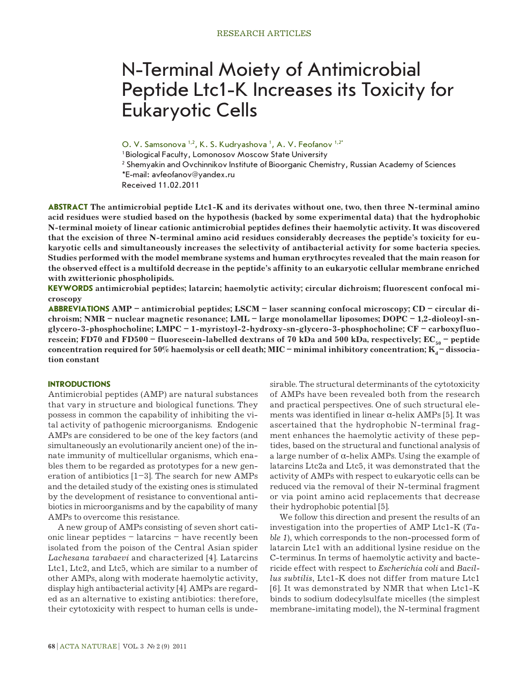# N-Terminal Moiety of Antimicrobial Peptide Ltc1-K Increases its Toxicity for Eukaryotic Cells

O. V. Samsonova <sup>1,2</sup>, K. S. Kudryashova <sup>1</sup>, A. V. Feofanov <sup>1,2</sup>\*

1 Biological Faculty, Lomonosov Moscow State University

<sup>2</sup> Shemyakin and Ovchinnikov Institute of Bioorganic Chemistry, Russian Academy of Sciences

\*E-mail: avfeofanov@yandex.ru

Received 11.02.2011

**ABSTRACT The antimicrobial peptide Ltc1-K and its derivates without one, two, then three N-terminal amino acid residues were studied based on the hypothesis (backed by some experimental data) that the hydrophobic N-terminal moiety of linear cationic antimicrobial peptides defines their haemolytic activity. It was discovered that the excision of three N-terminal amino acid residues considerably decreases the peptide's toxicity for eukaryotic cells and simultaneously increases the selectivity of antibacterial activity for some bacteria species. Studies performed with the model membrane systems and human erythrocytes revealed that the main reason for the observed effect is a multifold decrease in the peptide's affinity to an eukaryotic cellular membrane enriched with zwitterionic phospholipids.** 

**KEYWORDS antimicrobial peptides; latarcin; haemolytic activity; circular dichroism; fluorescent confocal microscopy**

**ABBREVIATIONS AMP – antimicrobial peptides; LSCM – laser scanning confocal microscopy; CD – circular dichroism; NMR – nuclear magnetic resonance; LML – large monolamellar liposomes; DOPC – 1,2-dioleoyl-snglycero-3-phosphocholine; LMPC – 1-myristoyl-2-hydroxy-sn-glycero-3-phosphocholine; CF – carboxyfluorescein; FD70 and FD500 – fluorescein-labelled dextrans of 70 kDa and 500 kDa, respectively; EC<sub>50</sub> – peptide** concentration required for 50% haemolysis or cell death; MIC – minimal inhibitory concentration; K<sub>a</sub> – dissocia**tion constant**

## **INTRODUCTIONS**

Antimicrobial peptides (AMP) are natural substances that vary in structure and biological functions. They possess in common the capability of inhibiting the vital activity of pathogenic microorganisms. Endogenic AMPs are considered to be one of the key factors (and simultaneously an evolutionarily ancient one) of the innate immunity of multicellular organisms, which enables them to be regarded as prototypes for a new generation of antibiotics  $[1-3]$ . The search for new AMPs and the detailed study of the existing ones is stimulated by the development of resistance to conventional antibiotics in microorganisms and by the capability of many AMPs to overcome this resistance.

A new group of AMPs consisting of seven short cationic linear peptides – latarcins – have recently been isolated from the poison of the Central Asian spider *Lachesana tarabaevi* and characterized [4]. Latarcins Ltc1, Ltc2, and Ltc5, which are similar to a number of other AMPs, along with moderate haemolytic activity, display high antibacterial activity [4]. AMPs are regarded as an alternative to existing antibiotics: therefore, their cytotoxicity with respect to human cells is undesirable. The structural determinants of the cytotoxicity of AMPs have been revealed both from the research and practical perspectives. One of such structural elements was identified in linear  $\alpha$ -helix AMPs [5]. It was ascertained that the hydrophobic N-terminal fragment enhances the haemolytic activity of these peptides, based on the structural and functional analysis of a large number of  $\alpha$ -helix AMPs. Using the example of latarcins Ltc2a and Ltc5, it was demonstrated that the activity of AMPs with respect to eukaryotic cells can be reduced via the removal of their N-terminal fragment or via point amino acid replacements that decrease their hydrophobic potential [5].

We follow this direction and present the results of an investigation into the properties of AMP Ltc1-K (*Table 1*), which corresponds to the non-processed form of latarcin Ltc1 with an additional lysine residue on the C-terminus. In terms of haemolytic activity and bactericide effect with respect to *Escherichia coli* and *Bacillus subtilis*, Ltc1-K does not differ from mature Ltc1 [6]. It was demonstrated by NMR that when Ltc1-K binds to sodium dodecylsulfate micelles (the simplest membrane-imitating model), the N-terminal fragment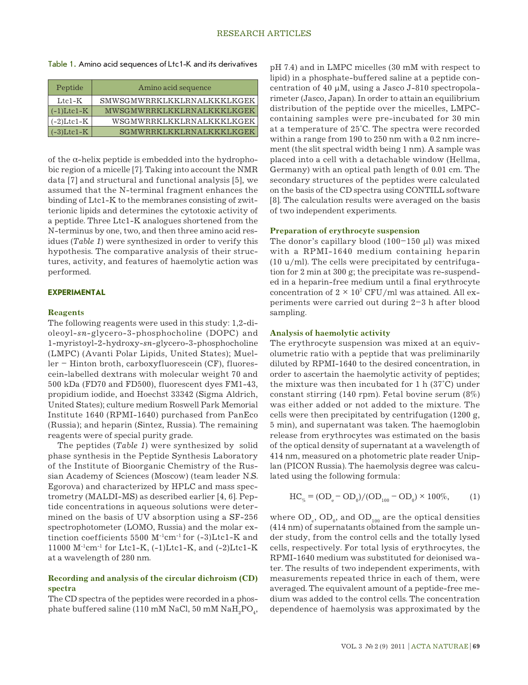|  | Table 1. Amino acid sequences of Ltc1-K and its derivatives |  |
|--|-------------------------------------------------------------|--|
|--|-------------------------------------------------------------|--|

| Peptide       | Amino acid sequence        |
|---------------|----------------------------|
| $Ltc1-K$      | SMWSGMWRRKLKKLRNALKKKLKGEK |
| $(-1)$ Ltcl-K | MWSGMWRRKLKKLRNALKKKLKGEK  |
| $(-2)$ Ltcl-K | WSGMWRRKLKKLRNALKKKLKGEK   |
| $(-3)$ Ltcl-K | SGMWRRKLKKLRNALKKKLKGEK    |

of the  $\alpha$ -helix peptide is embedded into the hydrophobic region of a micelle [7]. Taking into account the NMR data [7] and structural and functional analysis [5], we assumed that the N-terminal fragment enhances the binding of Ltc1-K to the membranes consisting of zwitterionic lipids and determines the cytotoxic activity of a peptide. Three Ltc1-K analogues shortened from the N-terminus by one, two, and then three amino acid residues (*Table 1*) were synthesized in order to verify this hypothesis. The comparative analysis of their structures, activity, and features of haemolytic action was performed.

## **EXPERIMENTAL**

# **Reagents**

The following reagents were used in this study: 1,2-dioleoyl-*sn*-glycero-3-phosphocholine (DOPC) and 1-myristoyl-2-hydroxy-*sn*-glycero-3-phosphocholine (LMPC) (Avanti Polar Lipids, United States); Mueller – Hinton broth, carboxyfluorescein (CF), fluorescein-labelled dextrans with molecular weight 70 and 500 kDa (FD70 and FD500), fluorescent dyes FM1-43, propidium iodide, and Hoechst 33342 (Sigma Aldrich, United States); culture medium Roswell Park Memorial Institute 1640 (RPMI-1640) purchased from PanEco (Russia); and heparin (Sintez, Russia). The remaining reagents were of special purity grade.

The peptides (*Table 1*) were synthesized by solid phase synthesis in the Peptide Synthesis Laboratory of the Institute of Bioorganic Chemistry of the Russian Academy of Sciences (Moscow) (team leader N.S. Egorova) and characterized by HPLC and mass spectrometry (MALDI-MS) as described earlier [4, 6]. Peptide concentrations in aqueous solutions were determined on the basis of UV absorption using a SF-256 spectrophotometer (LOMO, Russia) and the molar extinction coefficients  $5500$  M<sup>-1</sup>cm<sup>-1</sup> for  $(-3)$ Ltc1-K and 11000  $M^{-1}$ cm<sup>-1</sup> for Ltc1-K,  $(-1)$ Ltc1-K, and  $(-2)$ Ltc1-K at a wavelength of 280 nm.

# **Recording and analysis of the circular dichroism (CD) spectra**

The CD spectra of the peptides were recorded in a phosphate buffered saline (110 mM NaCl, 50 mM  $\mathrm{NaH}_2\mathrm{PO}_4$ ,

pH 7.4) and in LMPC micelles (30 mM with respect to lipid) in a phosphate-buffered saline at a peptide concentration of 40  $\mu$ M, using a Jasco J-810 spectropolarimeter (Jasco, Japan). In order to attain an equilibrium distribution of the peptide over the micelles, LMPCcontaining samples were pre-incubated for 30 min at a temperature of 25°С. The spectra were recorded within a range from 190 to 250 nm with a 0.2 nm increment (the slit spectral width being 1 nm). A sample was placed into a cell with a detachable window (Hellma, Germany) with an optical path length of 0.01 cm. The secondary structures of the peptides were calculated on the basis of the CD spectra using CONTILL software [8]. The calculation results were averaged on the basis of two independent experiments.

# **Preparation of erythrocyte suspension**

The donor's capillary blood  $(100-150 \mu l)$  was mixed with a RPMI-1640 medium containing heparin  $(10 u/ml)$ . The cells were precipitated by centrifugation for 2 min at 300 g; the precipitate was re-suspended in a heparin-free medium until a final erythrocyte concentration of  $2 \times 10^7$  CFU/ml was attained. All experiments were carried out during 2–3 h after blood sampling.

# **Analysis of haemolytic activity**

The erythrocyte suspension was mixed at an equivolumetric ratio with a peptide that was preliminarily diluted by RPMI-1640 to the desired concentration, in order to ascertain the haemolytic activity of peptides; the mixture was then incubated for 1 h (37°С) under constant stirring (140 rpm). Fetal bovine serum (8%) was either added or not added to the mixture. The cells were then precipitated by centrifugation (1200 g, 5 min), and supernatant was taken. The haemoglobin release from erythrocytes was estimated on the basis of the optical density of supernatant at a wavelength of 414 nm, measured on a photometric plate reader Uniplan (PICON Russia). The haemolysis degree was calculated using the following formula:

$$
HC_{\%} = (OD_e - OD_0) / (OD_{100} - OD_0) \times 100\%, \tag{1}
$$

where  $OD_{e}$ ,  $OD_{0}$ , and  $OD_{100}$  are the optical densities (414 nm) of supernatants obtained from the sample under study, from the control cells and the totally lysed cells, respectively. For total lysis of erythrocytes, the RPMI-1640 medium was substituted for deionised water. The results of two independent experiments, with measurements repeated thrice in each of them, were averaged. The equivalent amount of a peptide-free medium was added to the control cells. The concentration dependence of haemolysis was approximated by the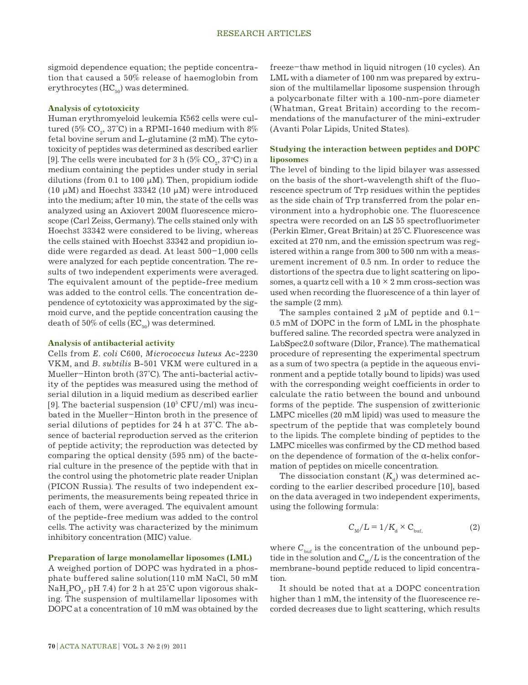sigmoid dependence equation; the peptide concentration that caused a 50% release of haemoglobin from erythrocytes  $(HC_{50})$  was determined.

### **Analysis of cytotoxicity**

Human erythromyeloid leukemia К562 cells were cultured (5%  $\text{CO}_\text{\tiny{2}},$  37°C) in a RPMI-1640 medium with 8% fetal bovine serum and L-glutamine (2 mM). The cytotoxicity of peptides was determined as described earlier [9]. The cells were incubated for 3 h (5%  $\mathrm{CO}_2^{\phantom{\dag}},$  37°C) in a medium containing the peptides under study in serial dilutions (from  $0.1$  to  $100 \mu M$ ). Then, propidium iodide (10  $\mu$ M) and Hoechst 33342 (10  $\mu$ M) were introduced into the medium; after 10 min, the state of the cells was analyzed using an Axiovert 200M fluorescence microscope (Carl Zeiss, Germany). The cells stained only with Hoechst 33342 were considered to be living, whereas the cells stained with Hoechst 33342 and propidiun iodide were regarded as dead. At least 500–1,000 cells were analyzed for each peptide concentration. The results of two independent experiments were averaged. The equivalent amount of the peptide-free medium was added to the control cells. The concentration dependence of cytotoxicity was approximated by the sigmoid curve, and the peptide concentration causing the death of 50% of cells  $(EC_{50})$  was determined.

#### **Analysis of antibacterial activity**

Cells from *E. coli* C600, *Micrococcus luteus* Ac-2230 VKM, and *B. subtilis* B-501 VKM were cultured in a Mueller–Hinton broth (37°C). The anti-bacterial activity of the peptides was measured using the method of serial dilution in a liquid medium as described earlier [9]. The bacterial suspension  $(10^5 \, \mathrm{CFU}/\mathrm{ml})$  was incubated in the Mueller–Hinton broth in the presence of serial dilutions of peptides for 24 h at 37°C. The absence of bacterial reproduction served as the criterion of peptide activity; the reproduction was detected by comparing the optical density (595 nm) of the bacterial culture in the presence of the peptide with that in the control using the photometric plate reader Uniplan (PICON Russia). The results of two independent experiments, the measurements being repeated thrice in each of them, were averaged. The equivalent amount of the peptide-free medium was added to the control cells. The activity was characterized by the minimum inhibitory concentration (MIC) value.

# **Preparation of large monolamellar liposomes (LML)**

A weighed portion of DOPC was hydrated in a phosphate buffered saline solution(110 mM NaCl, 50 mM  $\mathrm{NaH_{_2}PO_{_4}\!,}$  pH 7.4) for 2 h at 25°C upon vigorous shaking. The suspension of multilamellar liposomes with DOPC at a concentration of 10 mM was obtained by the

freeze–thaw method in liquid nitrogen (10 cycles). An LML with a diameter of 100 nm was prepared by extrusion of the multilamellar liposome suspension through a polycarbonate filter with a 100-nm-pore diameter (Whatman, Great Britain) according to the recommendations of the manufacturer of the mini-extruder (Avanti Polar Lipids, United States).

# **Studying the interaction between peptides and DOPC liposomes**

The level of binding to the lipid bilayer was assessed on the basis of the short-wavelength shift of the fluorescence spectrum of Trp residues within the peptides as the side chain of Trp transferred from the polar environment into a hydrophobic one. The fluorescence spectra were recorded on an LS 55 spectrofluorimeter (Perkin Elmer, Great Britain) at 25°С. Fluorescence was excited at 270 nm, and the emission spectrum was registered within a range from 300 to 500 nm with a measurement increment of 0.5 nm. In order to reduce the distortions of the spectra due to light scattering on liposomes, a quartz cell with a  $10 \times 2$  mm cross-section was used when recording the fluorescence of a thin layer of the sample (2 mm).

The samples contained 2  $\mu$ M of peptide and 0.1-0.5 mM of DOPC in the form of LML in the phosphate buffered saline. The recorded spectra were analyzed in LabSpec2.0 software (Dilor, France). The mathematical procedure of representing the experimental spectrum as a sum of two spectra (a peptide in the aqueous environment and a peptide totally bound to lipids) was used with the corresponding weight coefficients in order to calculate the ratio between the bound and unbound forms of the peptide. The suspension of zwitterionic LMPC micelles (20 mM lipid) was used to measure the spectrum of the peptide that was completely bound to the lipids. The complete binding of peptides to the LMPC micelles was confirmed by the CD method based on the dependence of formation of the α-helix conformation of peptides on micelle concentration.

The dissociation constant  $(K_d)$  was determined according to the earlier described procedure [10], based on the data averaged in two independent experiments, using the following formula:

$$
C_{\rm M}/L = 1/K_{\rm d} \times C_{\rm but,}
$$
 (2)

where  $C_{\text{buf}}$  is the concentration of the unbound peptide in the solution and  $C_M/L$  is the concentration of the membrane-bound peptide reduced to lipid concentration.

It should be noted that at a DOPC concentration higher than 1 mM, the intensity of the fluorescence recorded decreases due to light scattering, which results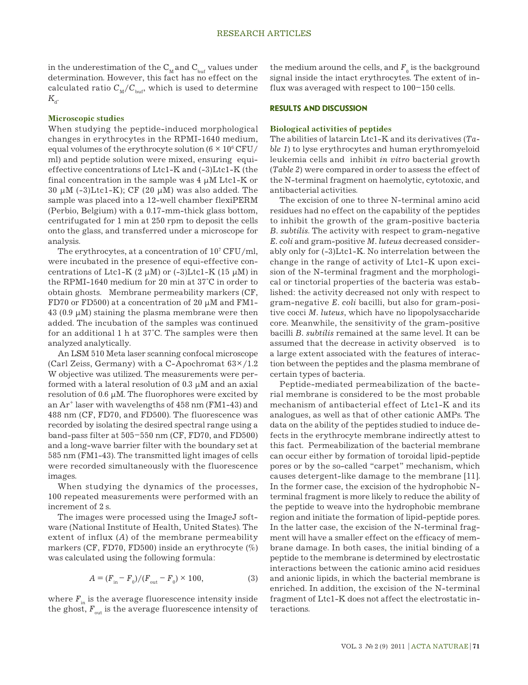in the underestimation of the  $C_{M}$  and  $C_{buf}$  values under determination. However, this fact has no effect on the calculated ratio  $C_M/C_{\text{bnd}}$ , which is used to determine  $K_{d}$ .

# **Microscopic studies**

When studying the peptide-induced morphological changes in erythrocytes in the RPMI-1640 medium, equal volumes of the erythrocyte solution (6  $\times$   $10^6\,\mathrm{CFU}/$ ml) and peptide solution were mixed, ensuring equieffective concentrations of Ltc1-K and (-3)Ltc1-K (the final concentration in the sample was 4 µM Ltc1-K or  $30 \mu$ M (-3)Ltc1-K); CF (20  $\mu$ M) was also added. The sample was placed into a 12-well chamber flexiPERM (Perbio, Belgium) with a 0.17-mm-thick glass bottom, centrifugated for 1 min at 250 rpm to deposit the cells onto the glass, and transferred under a microscope for analysis.

The erythrocytes, at a concentration of  $10^7$  CFU/ml, were incubated in the presence of equi-effective concentrations of Ltc1-K (2  $\mu$ M) or (-3)Ltc1-K (15  $\mu$ M) in the RPMI-1640 medium for 20 min at 37°С in order to obtain ghosts. Membrane permeability markers (CF, FD70 or FD500) at a concentration of 20  $\mu$ M and FM1- $43$  (0.9  $\mu$ M) staining the plasma membrane were then added. The incubation of the samples was continued for an additional 1 h at 37°С. The samples were then analyzed analytically.

An LSM 510 Meta laser scanning confocal microscope (Carl Zeiss, Germany) with a C-Apochromat  $63\times/1.2$ W objective was utilized. The measurements were performed with a lateral resolution of  $0.3 \mu M$  and an axial resolution of  $0.6 \mu M$ . The fluorophores were excited by an  $Ar^+$  laser with wavelengths of  $458$  nm (FM1-43) and 488 nm (CF, FD70, and FD500). The fluorescence was recorded by isolating the desired spectral range using a band-pass filter at 505–550 nm (CF, FD70, and FD500) and a long-wave barrier filter with the boundary set at 585 nm (FM1-43). The transmitted light images of cells were recorded simultaneously with the fluorescence images.

When studying the dynamics of the processes, 100 repeated measurements were performed with an increment of 2 s.

The images were processed using the ImageJ software (National Institute of Health, United States). The extent of influx (*A*) of the membrane permeability markers (CF, FD70, FD500) inside an erythrocyte (%) was calculated using the following formula:

$$
A = (F_{\text{in}} - F_0)/(F_{\text{out}} - F_0) \times 100,\tag{3}
$$

where  $F_{in}$  is the average fluorescence intensity inside the ghost,  $F_{\text{out}}$  is the average fluorescence intensity of

the medium around the cells, and  $\boldsymbol{F}_{_{\boldsymbol{0}}}$  is the background signal inside the intact erythrocytes. The extent of influx was averaged with respect to 100–150 cells.

## **RESULTS and DISCUSSION**

# **Biological activities of peptides**

The abilities of latarcin Ltc1-K and its derivatives (*Table 1*) to lyse erythrocytes and human erythromyeloid leukemia cells and inhibit *in vitro* bacterial growth (*Table 2*) were compared in order to assess the effect of the N-terminal fragment on haemolytic, cytotoxic, and antibacterial activities.

The excision of one to three N-terminal amino acid residues had no effect on the capability of the peptides to inhibit the growth of the gram-positive bacteria *B. subtilis*. The activity with respect to gram-negative *E. coli* and gram-positive *M. luteus* decreased considerably only for (-3)Ltc1-K. No interrelation between the change in the range of activity of Ltc1-K upon excision of the N-terminal fragment and the morphological or tinctorial properties of the bacteria was established: the activity decreased not only with respect to gram-negative *E. coli* bacilli, but also for gram-positive cocci *M. luteus*, which have no lipopolysaccharide core. Meanwhile, the sensitivity of the gram-positive bacilli *B. subtilis* remained at the same level. It can be assumed that the decrease in activity observed is to a large extent associated with the features of interaction between the peptides and the plasma membrane of certain types of bacteria.

Peptide-mediated permeabilization of the bacterial membrane is considered to be the most probable mechanism of antibacterial effect of Ltc1-K and its analogues, as well as that of other cationic AMPs. The data on the ability of the peptides studied to induce defects in the erythrocyte membrane indirectly attest to this fact. Permeabilization of the bacterial membrane can occur either by formation of toroidal lipid-peptide pores or by the so-called "carpet" mechanism, which causes detergent-like damage to the membrane [11]. In the former case, the excision of the hydrophobic Nterminal fragment is more likely to reduce the ability of the peptide to weave into the hydrophobic membrane region and initiate the formation of lipid-peptide pores. In the latter case, the excision of the N-terminal fragment will have a smaller effect on the efficacy of membrane damage. In both cases, the initial binding of a peptide to the membrane is determined by electrostatic interactions between the cationic amino acid residues and anionic lipids, in which the bacterial membrane is enriched. In addition, the excision of the N-terminal fragment of Ltc1-K does not affect the electrostatic interactions.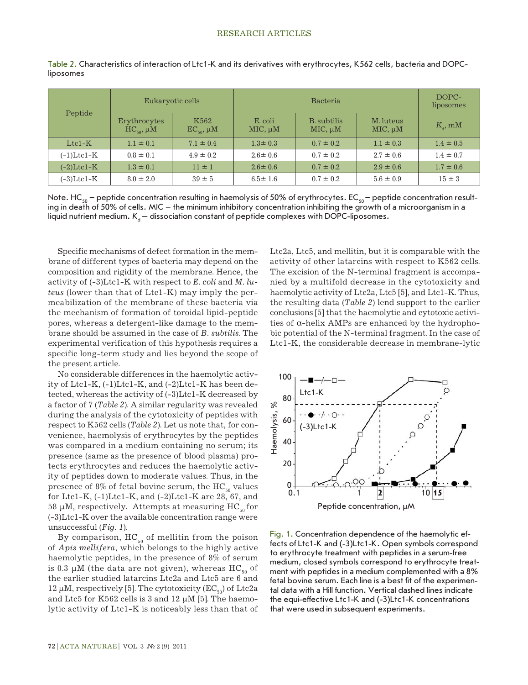| Peptide       | Eukaryotic cells                    |                             | <b>Bacteria</b>         |                                    |                           | DOPC-<br>liposomes |
|---------------|-------------------------------------|-----------------------------|-------------------------|------------------------------------|---------------------------|--------------------|
|               | Erythrocytes<br>$HC_{50}$ , $\mu$ M | K562<br>$EC_{50}$ , $\mu$ M | E. coli<br>$MIC, \mu M$ | <b>B.</b> subtilis<br>$MIC, \mu M$ | M. luteus<br>$MIC, \mu M$ | $K_{\rm a}$ , mM   |
| $Ltc1-K$      | $1.1 \pm 0.1$                       | $7.1 \pm 0.4$               | $1.3 \pm 0.3$           | $0.7 \pm 0.2$                      | $1.1 \pm 0.3$             | $1.4 \pm 0.5$      |
| (-1)Ltc1-K    | $0.8 \pm 0.1$                       | $4.9 \pm 0.2$               | $2.6 \pm 0.6$           | $0.7 \pm 0.2$                      | $2.7 \pm 0.6$             | $1.4 \pm 0.7$      |
| $(-2)$ Ltc1-K | $1.3 \pm 0.1$                       | $11 \pm 1$                  | $2.6 \pm 0.6$           | $0.7 \pm 0.2$                      | $2.9 \pm 0.6$             | $1.7 \pm 0.6$      |
| $(-3)$ Ltc1-K | $8.0 \pm 2.0$                       | $39 \pm 5$                  | $6.5 \pm 1.6$           | $0.7 \pm 0.2$                      | $5.6 \pm 0.9$             | $15 \pm 3$         |

Table 2. Characteristics of interaction of Ltc1-K and its derivatives with erythrocytes, K562 cells, bacteria and DOPCliposomes

Note. HC<sub>50</sub> – peptide concentration resulting in haemolysis of 50% of erythrocytes. EC<sub>50</sub> – peptide concentration resulting in death of 50% of cells. MIC – the minimum inhibitory concentration inhibiting the growth of a microorganism in a liquid nutrient medium.  $K_a$  – dissociation constant of peptide complexes with DOPC-liposomes.

Specific mechanisms of defect formation in the membrane of different types of bacteria may depend on the composition and rigidity of the membrane. Hence, the activity of (-3)Ltc1-K with respect to *E. coli* and *M. luteus* (lower than that of Ltc1-K) may imply the permeabilization of the membrane of these bacteria via the mechanism of formation of toroidal lipid-peptide pores, whereas a detergent-like damage to the membrane should be assumed in the case of *B. subtilis*. The experimental verification of this hypothesis requires a specific long-term study and lies beyond the scope of the present article.

No considerable differences in the haemolytic activity of Ltc1-K, (-1)Ltc1-K, and (-2)Ltc1-K has been detected, whereas the activity of (-3)Ltc1-K decreased by a factor of 7 (*Table 2*). A similar regularity was revealed during the analysis of the cytotoxicity of peptides with respect to K562 cells (*Table 2*). Let us note that, for convenience, haemolysis of erythrocytes by the peptides was compared in a medium containing no serum; its presence (same as the presence of blood plasma) protects erythrocytes and reduces the haemolytic activity of peptides down to moderate values. Thus, in the presence of 8% of fetal bovine serum, the  $HC_{50}$  values for Ltc1-K,  $(-1)$ Ltc1-K, and  $(-2)$ Ltc1-K are 28, 67, and 58  $\mu$ M, respectively. Attempts at measuring HC<sub>50</sub> for (-3)Ltc1-K over the available concentration range were unsuccessful (*Fig. 1*).

By comparison,  $HC_{50}$  of mellitin from the poison of *Apis mellifera*, which belongs to the highly active haemolytic peptides, in the presence of 8% of serum is 0.3  $\mu$ M (the data are not given), whereas HC<sub>50</sub> of the earlier studied latarcins Ltc2a and Ltc5 are 6 and 12  $\mu$ M, respectively [5]. The cytotoxicity (EC<sub>50</sub>) of Ltc2a and Ltc5 for K562 cells is 3 and 12  $\mu$ M [5]. The haemolytic activity of Ltc1-K is noticeably less than that of

Ltc2a, Ltc5, and mellitin, but it is comparable with the activity of other latarcins with respect to K562 cells. The excision of the N-terminal fragment is accompanied by a multifold decrease in the cytotoxicity and haemolytic activity of Ltc2a, Ltc5 [5], and Ltc1-K. Thus, the resulting data (*Table 2*) lend support to the earlier conclusions [5] that the haemolytic and cytotoxic activities of α-helix AMPs are enhanced by the hydrophobic potential of the N-terminal fragment. In the case of Ltc1-K, the considerable decrease in membrane-lytic



Fig. 1. Concentration dependence of the haemolytic effects of Ltc1-K and (-3)Ltc1-K. Open symbols correspond to erythrocyte treatment with peptides in a serum-free medium, closed symbols correspond to erythrocyte treatment with peptides in a medium complemented with a 8% fetal bovine serum. Each line is a best fit of the experimental data with a Hill function. Vertical dashed lines indicate the equi-effective Ltc1-K and (-3)Ltc1-K concentrations that were used in subsequent experiments.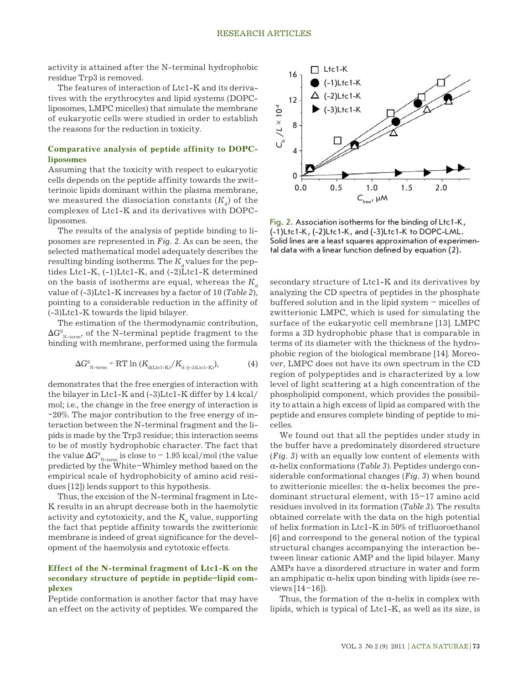activity is attained after the N-terminal hydrophobic residue Trp3 is removed.

The features of interaction of Ltc1-K and its derivatives with the erythrocytes and lipid systems (DOPCliposomes, LMPC micelles) that simulate the membrane of eukaryotic cells were studied in order to establish the reasons for the reduction in toxicity.

# **Comparative analysis of peptide affinity to DOPCliposomes**

Assuming that the toxicity with respect to eukaryotic cells depends on the peptide affinity towards the zwitterinoic lipids dominant within the plasma membrane, we measured the dissociation constants  $(K_d)$  of the complexes of Ltc1-K and its derivatives with DOPCliposomes.

The results of the analysis of peptide binding to liposomes are represented in *Fig. 2*. As can be seen, the selected mathematical model adequately describes the resulting binding isotherms. The  $K_{\mu}$  values for the peptides Ltc1-K, (-1)Ltc1-K, and (-2)Ltc1-K determined on the basis of isotherms are equal, whereas the  $K_A$ value of (-3)Ltc1-K increases by a factor of 10 (*Table 2*), pointing to a considerable reduction in the affinity of (-3)Ltc1-K towards the lipid bilayer.

The estimation of the thermodynamic contribution,  $\Delta G^0_{\rm N-term}$ , of the N-terminal peptide fragment to the binding with membrane, performed using the formula

$$
\Delta G_{\text{N-term}}^0 \sim \text{RT} \ln \left( K_{\text{d}( \text{Let } -\text{K})} / K_{\text{d} \, (\text{(-3)} \text{Let } -\text{K})} \right),\tag{4}
$$

demonstrates that the free energies of interaction with the bilayer in Ltc1-K and (-3)Ltc1-K differ by 1.4 kcal/ mol; i.e., the change in the free energy of interaction is ~20%. The major contribution to the free energy of interaction between the N-terminal fragment and the lipids is made by the Trp3 residue; this interaction seems to be of mostly hydrophobic character. The fact that the value  $\Delta G_{_{\rm N-term}}^{\rm 0}$  is close to  $-$  1.95 kcal/mol (the value predicted by the White–Whimley method based on the empirical scale of hydrophobicity of amino acid residues [12]) lends support to this hypothesis.

Thus, the excision of the N-terminal fragment in Ltc-K results in an abrupt decrease both in the haemolytic activity and cytotoxicity, and the  $K_d$  value, supporting the fact that peptide affinity towards the zwitterionic membrane is indeed of great significance for the development of the haemolysis and cytotoxic effects.

# **Effect of the N-terminal fragment of Ltc1-K on the secondary structure of peptide in peptide–lipid complexes**

Peptide conformation is another factor that may have an effect on the activity of peptides. We compared the



Fig. 2. Association isotherms for the binding of Ltc1-K, (-1)Ltc1-K, (-2)Ltc1-K, and (-3)Ltc1-K to DOPC-LML. Solid lines are a least squares approximation of experimental data with a linear function defined by equation (2).

secondary structure of Ltc1-K and its derivatives by analyzing the CD spectra of peptides in the phosphate buffered solution and in the lipid system – micelles of zwitterionic LMPC, which is used for simulating the surface of the eukaryotic cell membrane [13]. LMPC forms a 3D hydrophobic phase that is comparable in terms of its diameter with the thickness of the hydrophobic region of the biological membrane [14]. Moreover, LMPC does not have its own spectrum in the CD region of polypeptides and is characterized by a low level of light scattering at a high concentration of the phospholipid component, which provides the possibility to attain a high excess of lipid as compared with the peptide and ensures complete binding of peptide to micelles.

We found out that all the peptides under study in the buffer have a predominately disordered structure (*Fig. 3*) with an equally low content of elements with α-helix conformations (*Table 3*). Peptides undergo considerable conformational changes (*Fig. 3*) when bound to zwitterionic micelles: the α-helix becomes the predominant structural element, with 15–17 amino acid residues involved in its formation (*Table 3*). The results obtained correlate with the data on the high potential of helix formation in Ltc1-K in 50% of trifluoroethanol [6] and correspond to the general notion of the typical structural changes accompanying the interaction between linear cationic AMP and the lipid bilayer. Many AMPs have a disordered structure in water and form an amphipatic  $\alpha$ -helix upon binding with lipids (see reviews [14–16]).

Thus, the formation of the  $\alpha$ -helix in complex with lipids, which is typical of Ltc1-K, as well as its size, is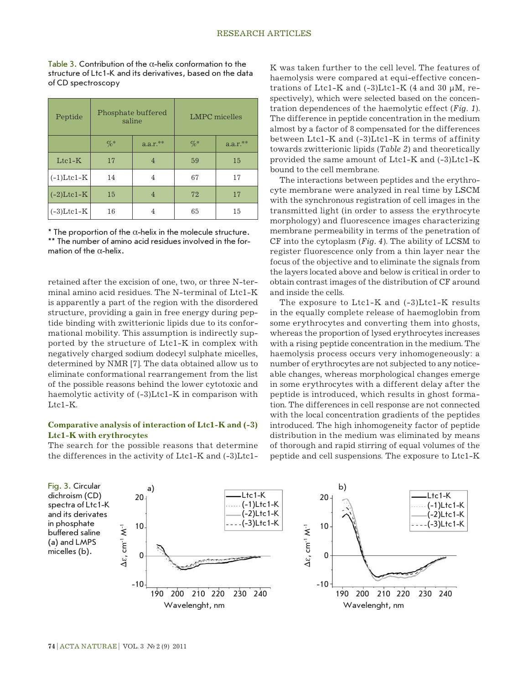Table 3. Contribution of the  $\alpha$ -helix conformation to the structure of Ltc1-K and its derivatives, based on the data of CD spectroscopy

| Peptide       | Phosphate buffered<br>saline |            |        | LMPC micelles |
|---------------|------------------------------|------------|--------|---------------|
|               | $\%$                         | $a.a.r.**$ | $\%$ * | $a.a.r.**$    |
| $Ltc1-K$      | 17                           | 4          | 59     | 15            |
| $(-1)$ Ltcl-K | 14                           | 4          | 67     | 17            |
| $(-2)$ Ltc1-K | 15                           | 4          | 72     | 17            |
| $(-3)$ Ltc1-K | 16                           | 4          | 65     | 15            |

 $*$  The proportion of the  $\alpha$ -helix in the molecule structure. \*\* The number of amino acid residues involved in the formation of the  $\alpha$ -helix.

retained after the excision of one, two, or three N-terminal amino acid residues. The N-terminal of Ltc1-K is apparently a part of the region with the disordered structure, providing a gain in free energy during peptide binding with zwitterionic lipids due to its conformational mobility. This assumption is indirectly supported by the structure of Ltc1-K in complex with negatively charged sodium dodecyl sulphate micelles, determined by NMR [7]. The data obtained allow us to eliminate conformational rearrangement from the list of the possible reasons behind the lower cytotoxic and haemolytic activity of  $(-3)$ Ltc1-K in comparison with Ltc1-K.

# **Comparative analysis of interaction of Ltc1-K and (-3) Ltc1-K with erythrocytes**

The search for the possible reasons that determine the differences in the activity of Ltc1-K and (-3)Ltc1K was taken further to the cell level. The features of haemolysis were compared at equi-effective concentrations of Ltc1-K and  $(-3)$ Ltc1-K  $(4$  and  $30 \mu M$ , respectively), which were selected based on the concentration dependences of the haemolytic effect (*Fig. 1*). The difference in peptide concentration in the medium almost by a factor of 8 compensated for the differences between Ltc1-K and (-3)Ltc1-K in terms of affinity towards zwitterionic lipids (*Table 2*) and theoretically provided the same amount of Ltc1-K and (-3)Ltc1-K bound to the cell membrane.

The interactions between peptides and the erythrocyte membrane were analyzed in real time by LSCM with the synchronous registration of cell images in the transmitted light (in order to assess the erythrocyte morphology) and fluorescence images characterizing membrane permeability in terms of the penetration of CF into the cytoplasm (*Fig. 4*). The ability of LCSM to register fluorescence only from a thin layer near the focus of the objective and to eliminate the signals from the layers located above and below is critical in order to obtain contrast images of the distribution of CF around and inside the cells.

The exposure to Ltc1-K and (-3)Ltc1-K results in the equally complete release of haemoglobin from some erythrocytes and converting them into ghosts, whereas the proportion of lysed erythrocytes increases with a rising peptide concentration in the medium. The haemolysis process occurs very inhomogeneously: a number of erythrocytes are not subjected to any noticeable changes, whereas morphological changes emerge in some erythrocytes with a different delay after the peptide is introduced, which results in ghost formation. The differences in cell response are not connected with the local concentration gradients of the peptides introduced. The high inhomogeneity factor of peptide distribution in the medium was eliminated by means of thorough and rapid stirring of equal volumes of the peptide and cell suspensions. The exposure to Ltc1-K

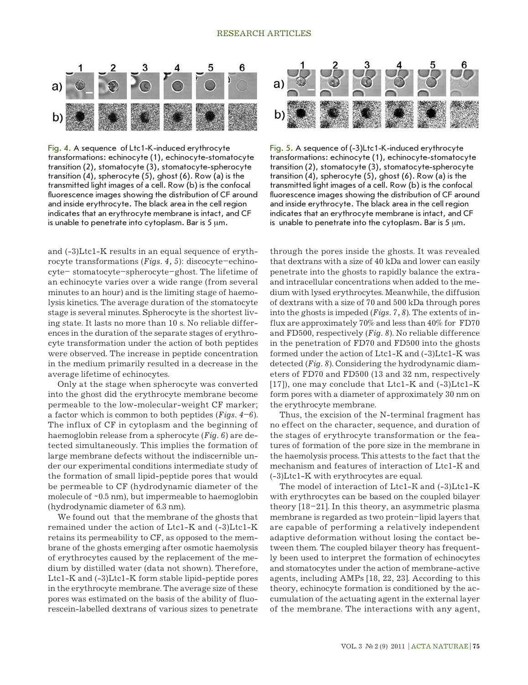#### RESEARCH ARTICLES



Fig. 4. A sequence of Ltc1-K-induced erythrocyte transformations: echinocyte (1), echinocyte-stomatocyte transition (2), stomatocyte (3), stomatocyte-spherocyte transition (4), spherocyte (5), ghost (6). Row (a) is the transmitted light images of a cell. Row (b) is the confocal fluorescence images showing the distribution of CF around and inside erythrocyte. The black area in the cell region indicates that an erythrocyte membrane is intact, and CF is unable to penetrate into cytoplasm. Bar is  $5 \mu m$ .

and (-3)Ltc1-K results in an equal sequence of erythrocyte transformations (*Figs. 4, 5*): discocyte–echinocyte– stomatocyte–spherocyte–ghost. The lifetime of an echinocyte varies over a wide range (from several minutes to an hour) and is the limiting stage of haemolysis kinetics. The average duration of the stomatocyte stage is several minutes. Spherocyte is the shortest living state. It lasts no more than 10 s. No reliable differences in the duration of the separate stages of erythrocyte transformation under the action of both peptides were observed. The increase in peptide concentration in the medium primarily resulted in a decrease in the average lifetime of echinocytes.

Only at the stage when spherocyte was converted into the ghost did the erythrocyte membrane become permeable to the low-molecular-weight CF marker; a factor which is common to both peptides (*Figs. 4–6*). The influx of CF in cytoplasm and the beginning of haemoglobin release from a spherocyte (*Fig. 6*) are detected simultaneously. This implies the formation of large membrane defects without the indiscernible under our experimental conditions intermediate study of the formation of small lipid-peptide pores that would be permeable to CF (hydrodynamic diameter of the molecule of ~0.5 nm), but impermeable to haemoglobin (hydrodynamic diameter of 6.3 nm).

We found out that the membrane of the ghosts that remained under the action of Ltc1-K and (-3)Ltc1-K retains its permeability to CF, as opposed to the membrane of the ghosts emerging after osmotic haemolysis of erythrocytes caused by the replacement of the medium by distilled water (data not shown). Therefore, Ltc1-K and (-3)Ltc1-K form stable lipid-peptide pores in the erythrocyte membrane. The average size of these pores was estimated on the basis of the ability of fluorescein-labelled dextrans of various sizes to penetrate



Fig. 5. A sequence of (-3)Ltc1-K-induced erythrocyte transformations: echinocyte (1), echinocyte-stomatocyte transition (2), stomatocyte (3), stomatocyte-spherocyte transition (4), spherocyte (5), ghost (6). Row (a) is the transmitted light images of a cell. Row (b) is the confocal fluorescence images showing the distribution of CF around and inside erythrocyte. The black area in the cell region indicates that an erythrocyte membrane is intact, and CF is unable to penetrate into the cytoplasm. Bar is  $5 \mu m$ .

through the pores inside the ghosts. It was revealed that dextrans with a size of 40 kDa and lower can easily penetrate into the ghosts to rapidly balance the extraand intracellular concentrations when added to the medium with lysed erythrocytes. Meanwhile, the diffusion of dextrans with a size of 70 and 500 kDa through pores into the ghosts is impeded (*Figs. 7, 8*). The extents of influx are approximately 70% and less than 40% for FD70 and FD500, respectively (*Fig. 8*). No reliable difference in the penetration of FD70 and FD500 into the ghosts formed under the action of Ltc1-K and (-3)Ltc1-K was detected (*Fig. 8*). Considering the hydrodynamic diameters of FD70 and FD500 (13 and 32 nm, respectively [17]), one may conclude that Ltc1-K and (-3)Ltc1-K form pores with a diameter of approximately 30 nm on the erythrocyte membrane.

Thus, the excision of the N-terminal fragment has no effect on the character, sequence, and duration of the stages of erythrocyte transformation or the features of formation of the pore size in the membrane in the haemolysis process. This attests to the fact that the mechanism and features of interaction of Ltc1-К and (-3)Ltc1-K with erythrocytes are equal.

The model of interaction of Ltc1-К and (-3)Ltc1-K with erythrocytes can be based on the coupled bilayer theory [18–21]. In this theory, an asymmetric plasma membrane is regarded as two protein–lipid layers that are capable of performing a relatively independent adaptive deformation without losing the contact between them. The coupled bilayer theory has frequently been used to interpret the formation of echinocytes and stomatocytes under the action of membrane-active agents, including AMPs [18, 22, 23]. According to this theory, echinocyte formation is conditioned by the accumulation of the actuating agent in the external layer of the membrane. The interactions with any agent,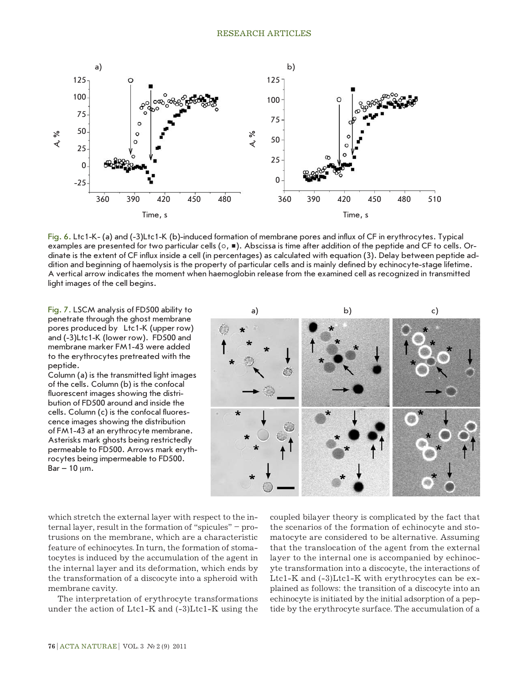

Fig. 6. Ltc1-K- (a) and (-3)Ltc1-K (b)-induced formation of membrane pores and influx of CF in erythrocytes. Typical examples are presented for two particular cells ( $\circ$ ,  $\blacksquare$ ). Abscissa is time after addition of the peptide and CF to cells. Ordinate is the extent of CF influx inside a cell (in percentages) as calculated with equation (3). Delay between peptide addition and beginning of haemolysis is the property of particular cells and is mainly defined by echinocyte-stage lifetime. A vertical arrow indicates the moment when haemoglobin release from the examined cell as recognized in transmitted light images of the cell begins.

penetrate through the ghost membrane pores produced by Ltc1-K (upper row) and (-3)Ltc1-K (lower row). FD500 and membrane marker FM1-43 were added to the erythrocytes pretreated with the peptide.

Column (a) is the transmitted light images of the cells. Column (b) is the confocal fluorescent images showing the distribution of FD500 around and inside the cells. Column (c) is the confocal fluorescence images showing the distribution of FM1-43 at an erythrocyte membrane. Asterisks mark ghosts being restrictedly permeable to FD500. Arrows mark erythrocytes being impermeable to FD500.  $Bar - 10 \mu m$ .



which stretch the external layer with respect to the internal layer, result in the formation of "spicules" – protrusions on the membrane, which are a characteristic feature of echinocytes. In turn, the formation of stomatocytes is induced by the accumulation of the agent in the internal layer and its deformation, which ends by the transformation of a discocyte into a spheroid with membrane cavity.

The interpretation of erythrocyte transformations under the action of Ltc1-K and (-3)Ltc1-K using the coupled bilayer theory is complicated by the fact that the scenarios of the formation of echinocyte and stomatocyte are considered to be alternative. Assuming that the translocation of the agent from the external layer to the internal one is accompanied by echinocyte transformation into a discocyte, the interactions of Ltc1-K and (-3)Ltc1-K with erythrocytes can be explained as follows: the transition of a discocyte into an echinocyte is initiated by the initial adsorption of a peptide by the erythrocyte surface. The accumulation of a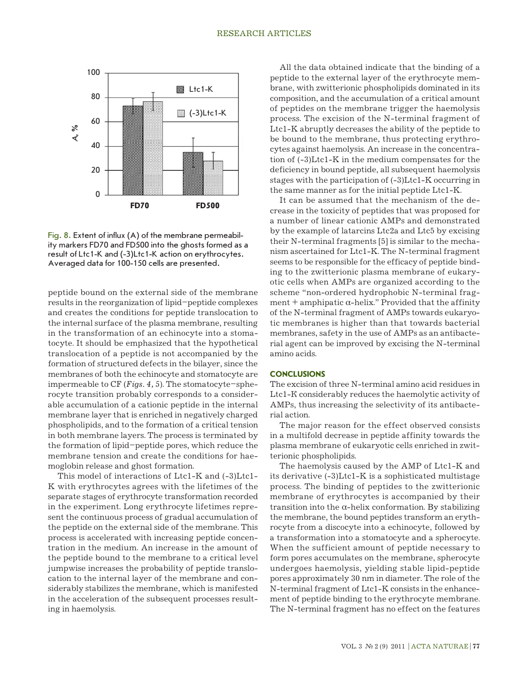

Fig. 8. Extent of influx (A) of the membrane permeability markers FD70 and FD500 into the ghosts formed as a result of Ltc1-K and (-3)Ltc1-K action on erythrocytes. Averaged data for 100-150 cells are presented.

peptide bound on the external side of the membrane results in the reorganization of lipid–peptide complexes and creates the conditions for peptide translocation to the internal surface of the plasma membrane, resulting in the transformation of an echinocyte into a stomatocyte. It should be emphasized that the hypothetical translocation of a peptide is not accompanied by the formation of structured defects in the bilayer, since the membranes of both the echinocyte and stomatocyte are impermeable to CF (*Figs. 4, 5*). The stomatocyte–spherocyte transition probably corresponds to a considerable accumulation of a cationic peptide in the internal membrane layer that is enriched in negatively charged phospholipids, and to the formation of a critical tension in both membrane layers. The process is terminated by the formation of lipid–peptide pores, which reduce the membrane tension and create the conditions for haemoglobin release and ghost formation.

This model of interactions of Ltc1-K and (-3)Ltc1- K with erythrocytes agrees with the lifetimes of the separate stages of erythrocyte transformation recorded in the experiment. Long erythrocyte lifetimes represent the continuous process of gradual accumulation of the peptide on the external side of the membrane. This process is accelerated with increasing peptide concentration in the medium. An increase in the amount of the peptide bound to the membrane to a critical level jumpwise increases the probability of peptide translocation to the internal layer of the membrane and considerably stabilizes the membrane, which is manifested in the acceleration of the subsequent processes resulting in haemolysis.

All the data obtained indicate that the binding of a peptide to the external layer of the erythrocyte membrane, with zwitterionic phospholipids dominated in its composition, and the accumulation of a critical amount of peptides on the membrane trigger the haemolysis process. The excision of the N-terminal fragment of Ltc1-K abruptly decreases the ability of the peptide to be bound to the membrane, thus protecting erythrocytes against haemolysis. An increase in the concentration of (-3)Ltc1-K in the medium compensates for the deficiency in bound peptide, all subsequent haemolysis stages with the participation of (-3)Ltc1-K occurring in the same manner as for the initial peptide Ltc1-K.

It can be assumed that the mechanism of the decrease in the toxicity of peptides that was proposed for a number of linear cationic AMPs and demonstrated by the example of latarcins Ltc2а and Ltc5 by excising their N-terminal fragments [5] is similar to the mechanism ascertained for Ltc1-K. The N-terminal fragment seems to be responsible for the efficacy of peptide binding to the zwitterionic plasma membrane of eukaryotic cells when AMPs are organized according to the scheme "non-ordered hydrophobic N-terminal fragment + amphipatic  $\alpha$ -helix." Provided that the affinity of the N-terminal fragment of AMPs towards eukaryotic membranes is higher than that towards bacterial membranes, safety in the use of AMPs as an antibacterial agent can be improved by excising the N-terminal amino acids.

#### **CONCLUSIONS**

The excision of three N-terminal amino acid residues in Ltc1-К considerably reduces the haemolytic activity of AMPs, thus increasing the selectivity of its antibacterial action.

The major reason for the effect observed consists in a multifold decrease in peptide affinity towards the plasma membrane of eukaryotic cells enriched in zwitterionic phospholipids.

The haemolysis caused by the AMP of Ltc1-K and its derivative (-3)Ltc1-K is a sophisticated multistage process. The binding of peptides to the zwitterionic membrane of erythrocytes is accompanied by their transition into the α-helix conformation. By stabilizing the membrane, the bound peptides transform an erythrocyte from a discocyte into a echinocyte, followed by a transformation into a stomatocyte and a spherocyte. When the sufficient amount of peptide necessary to form pores accumulates on the membrane, spherocyte undergoes haemolysis, yielding stable lipid-peptide pores approximately 30 nm in diameter. The role of the N-terminal fragment of Ltc1-K consists in the enhancement of peptide binding to the erythrocyte membrane. The N-terminal fragment has no effect on the features